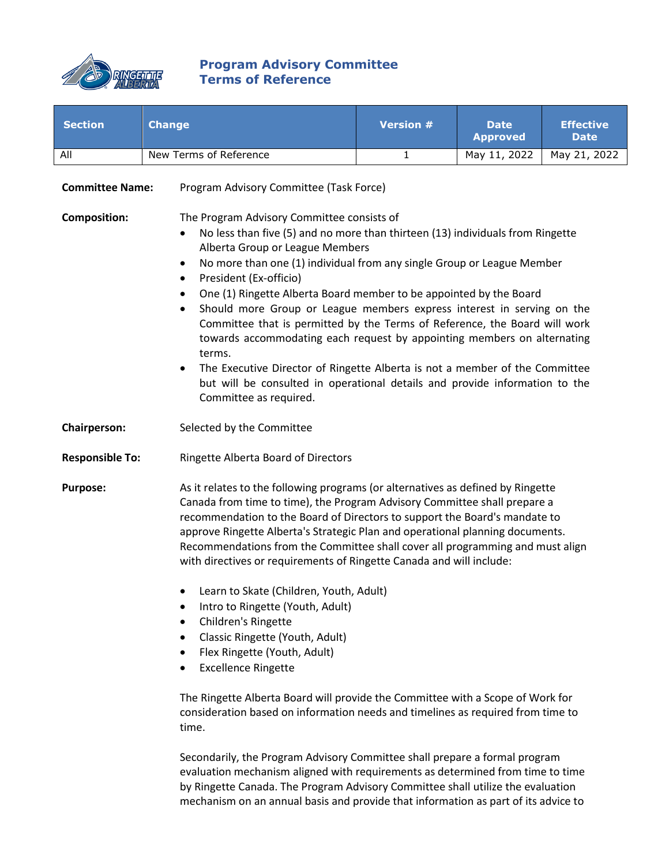

## **Program Advisory Committee Terms of Reference**

| <b>Section</b> | <b>Change</b>          | Version $#$ | <b>Date</b><br><b>Approved</b> | <b>Effective</b><br><b>Date</b> |
|----------------|------------------------|-------------|--------------------------------|---------------------------------|
| All            | New Terms of Reference |             | May 11, 2022                   | May 21, 2022                    |

**Committee Name:** Program Advisory Committee (Task Force) **Composition:** The Program Advisory Committee consists of • No less than five (5) and no more than thirteen (13) individuals from Ringette Alberta Group or League Members • No more than one (1) individual from any single Group or League Member • President (Ex-officio) • One (1) Ringette Alberta Board member to be appointed by the Board • Should more Group or League members express interest in serving on the Committee that is permitted by the Terms of Reference, the Board will work towards accommodating each request by appointing members on alternating terms. • The Executive Director of Ringette Alberta is not a member of the Committee but will be consulted in operational details and provide information to the Committee as required. **Chairperson:** Selected by the Committee **Responsible To:** Ringette Alberta Board of Directors **Purpose:** As it relates to the following programs (or alternatives as defined by Ringette Canada from time to time), the Program Advisory Committee shall prepare a recommendation to the Board of Directors to support the Board's mandate to approve Ringette Alberta's Strategic Plan and operational planning documents. Recommendations from the Committee shall cover all programming and must align with directives or requirements of Ringette Canada and will include: • Learn to Skate (Children, Youth, Adult) • Intro to Ringette (Youth, Adult) • Children's Ringette • Classic Ringette (Youth, Adult)

- Flex Ringette (Youth, Adult)
- Excellence Ringette

The Ringette Alberta Board will provide the Committee with a Scope of Work for consideration based on information needs and timelines as required from time to time.

Secondarily, the Program Advisory Committee shall prepare a formal program evaluation mechanism aligned with requirements as determined from time to time by Ringette Canada. The Program Advisory Committee shall utilize the evaluation mechanism on an annual basis and provide that information as part of its advice to